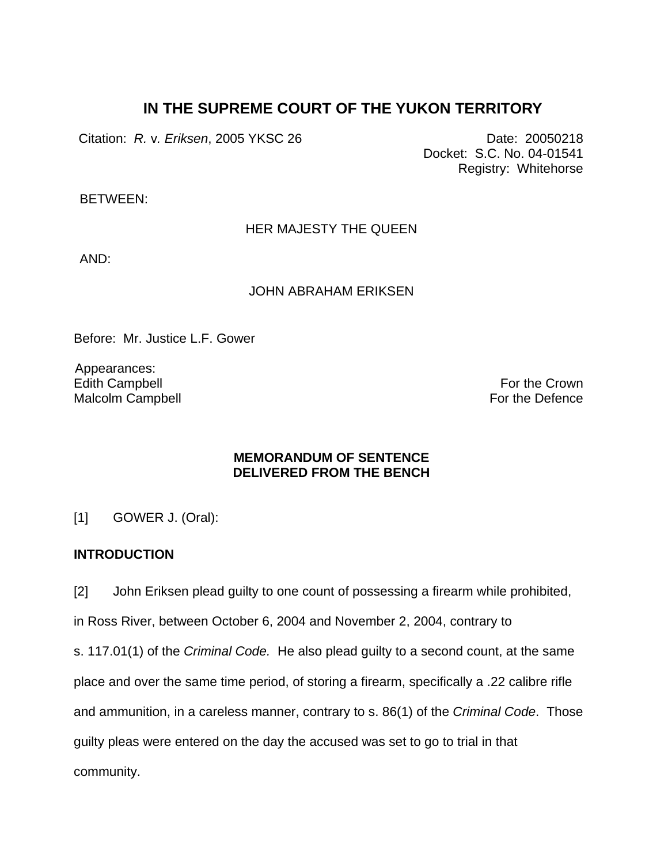# **IN THE SUPREME COURT OF THE YUKON TERRITORY**

Citation: *R. v. Eriksen*, 2005 YKSC 26 Date: 20050218

Docket: S.C. No. 04-01541 Registry: Whitehorse

BETWEEN:

HER MAJESTY THE QUEEN

AND:

JOHN ABRAHAM ERIKSEN

Before: Mr. Justice L.F. Gower

 Appearances: Edith Campbell Malcolm Campbell

For the Crown For the Defence

## **MEMORANDUM OF SENTENCE DELIVERED FROM THE BENCH**

[1] GOWER J. (Oral):

## **INTRODUCTION**

[2] John Eriksen plead guilty to one count of possessing a firearm while prohibited,

in Ross River, between October 6, 2004 and November 2, 2004, contrary to

s. 117.01(1) of the *Criminal Code.* He also plead guilty to a second count, at the same place and over the same time period, of storing a firearm, specifically a .22 calibre rifle and ammunition, in a careless manner, contrary to s. 86(1) of the *Criminal Code*. Those guilty pleas were entered on the day the accused was set to go to trial in that community.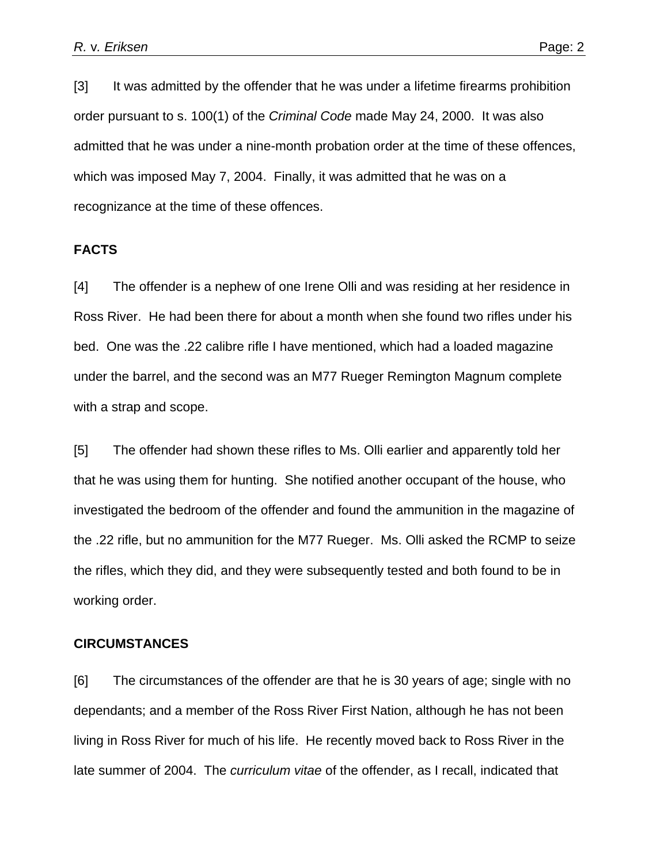[3] It was admitted by the offender that he was under a lifetime firearms prohibition order pursuant to s. 100(1) of the *Criminal Code* made May 24, 2000. It was also admitted that he was under a nine-month probation order at the time of these offences, which was imposed May 7, 2004. Finally, it was admitted that he was on a recognizance at the time of these offences.

#### **FACTS**

[4] The offender is a nephew of one Irene Olli and was residing at her residence in Ross River. He had been there for about a month when she found two rifles under his bed. One was the .22 calibre rifle I have mentioned, which had a loaded magazine under the barrel, and the second was an M77 Rueger Remington Magnum complete with a strap and scope.

[5] The offender had shown these rifles to Ms. Olli earlier and apparently told her that he was using them for hunting. She notified another occupant of the house, who investigated the bedroom of the offender and found the ammunition in the magazine of the .22 rifle, but no ammunition for the M77 Rueger. Ms. Olli asked the RCMP to seize the rifles, which they did, and they were subsequently tested and both found to be in working order.

#### **CIRCUMSTANCES**

[6] The circumstances of the offender are that he is 30 years of age; single with no dependants; and a member of the Ross River First Nation, although he has not been living in Ross River for much of his life. He recently moved back to Ross River in the late summer of 2004. The *curriculum vitae* of the offender, as I recall, indicated that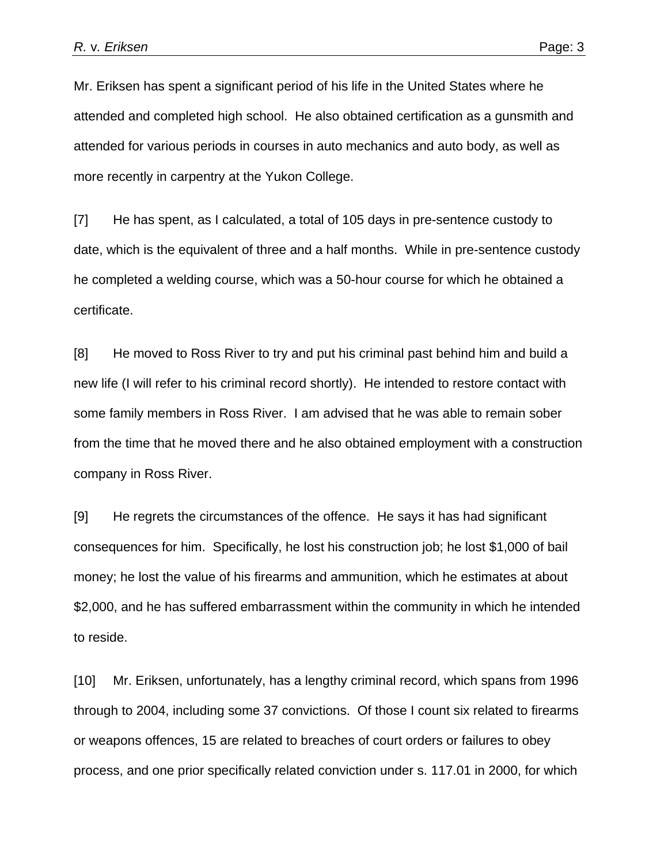Mr. Eriksen has spent a significant period of his life in the United States where he attended and completed high school. He also obtained certification as a gunsmith and attended for various periods in courses in auto mechanics and auto body, as well as more recently in carpentry at the Yukon College.

[7] He has spent, as I calculated, a total of 105 days in pre-sentence custody to date, which is the equivalent of three and a half months. While in pre-sentence custody he completed a welding course, which was a 50-hour course for which he obtained a certificate.

[8] He moved to Ross River to try and put his criminal past behind him and build a new life (I will refer to his criminal record shortly). He intended to restore contact with some family members in Ross River. I am advised that he was able to remain sober from the time that he moved there and he also obtained employment with a construction company in Ross River.

[9] He regrets the circumstances of the offence. He says it has had significant consequences for him. Specifically, he lost his construction job; he lost \$1,000 of bail money; he lost the value of his firearms and ammunition, which he estimates at about \$2,000, and he has suffered embarrassment within the community in which he intended to reside.

[10] Mr. Eriksen, unfortunately, has a lengthy criminal record, which spans from 1996 through to 2004, including some 37 convictions. Of those I count six related to firearms or weapons offences, 15 are related to breaches of court orders or failures to obey process, and one prior specifically related conviction under s. 117.01 in 2000, for which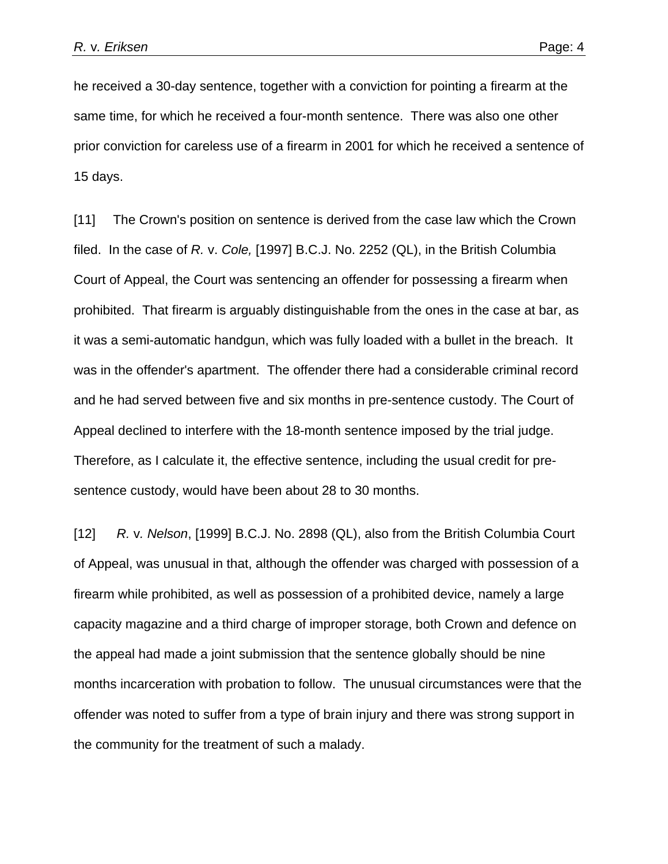he received a 30-day sentence, together with a conviction for pointing a firearm at the same time, for which he received a four-month sentence. There was also one other prior conviction for careless use of a firearm in 2001 for which he received a sentence of 15 days.

[11] The Crown's position on sentence is derived from the case law which the Crown filed. In the case of *R.* v. *Cole,* [1997] B.C.J. No. 2252 (QL), in the British Columbia Court of Appeal, the Court was sentencing an offender for possessing a firearm when prohibited. That firearm is arguably distinguishable from the ones in the case at bar, as it was a semi-automatic handgun, which was fully loaded with a bullet in the breach. It was in the offender's apartment. The offender there had a considerable criminal record and he had served between five and six months in pre-sentence custody. The Court of Appeal declined to interfere with the 18-month sentence imposed by the trial judge. Therefore, as I calculate it, the effective sentence, including the usual credit for presentence custody, would have been about 28 to 30 months.

[12] *R.* v*. Nelson*, [1999] B.C.J. No. 2898 (QL), also from the British Columbia Court of Appeal, was unusual in that, although the offender was charged with possession of a firearm while prohibited, as well as possession of a prohibited device, namely a large capacity magazine and a third charge of improper storage, both Crown and defence on the appeal had made a joint submission that the sentence globally should be nine months incarceration with probation to follow. The unusual circumstances were that the offender was noted to suffer from a type of brain injury and there was strong support in the community for the treatment of such a malady.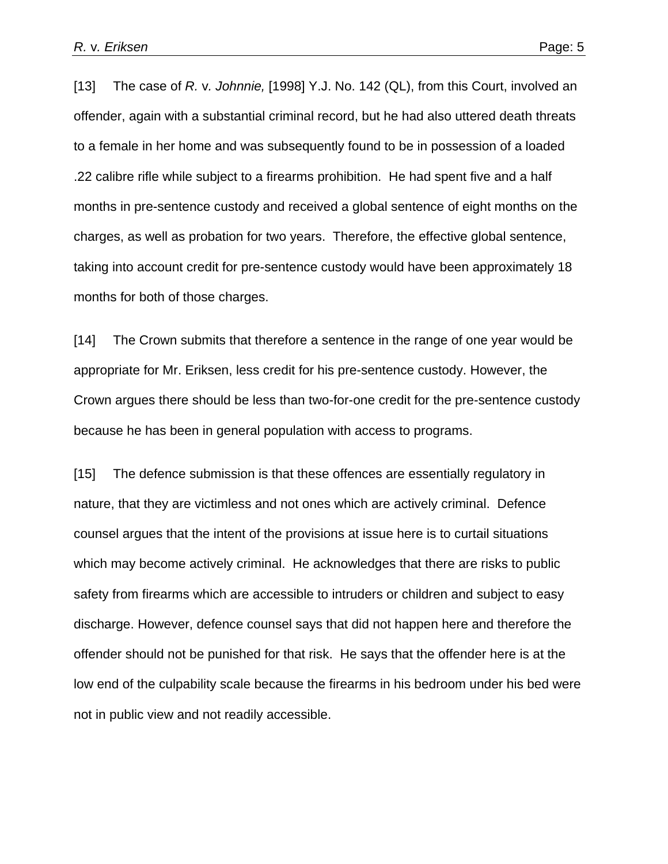[13] The case of *R.* v*. Johnnie,* [1998] Y.J. No. 142 (QL), from this Court, involved an offender, again with a substantial criminal record, but he had also uttered death threats to a female in her home and was subsequently found to be in possession of a loaded .22 calibre rifle while subject to a firearms prohibition. He had spent five and a half months in pre-sentence custody and received a global sentence of eight months on the charges, as well as probation for two years. Therefore, the effective global sentence, taking into account credit for pre-sentence custody would have been approximately 18 months for both of those charges.

[14] The Crown submits that therefore a sentence in the range of one year would be appropriate for Mr. Eriksen, less credit for his pre-sentence custody. However, the Crown argues there should be less than two-for-one credit for the pre-sentence custody because he has been in general population with access to programs.

[15] The defence submission is that these offences are essentially regulatory in nature, that they are victimless and not ones which are actively criminal. Defence counsel argues that the intent of the provisions at issue here is to curtail situations which may become actively criminal. He acknowledges that there are risks to public safety from firearms which are accessible to intruders or children and subject to easy discharge. However, defence counsel says that did not happen here and therefore the offender should not be punished for that risk. He says that the offender here is at the low end of the culpability scale because the firearms in his bedroom under his bed were not in public view and not readily accessible.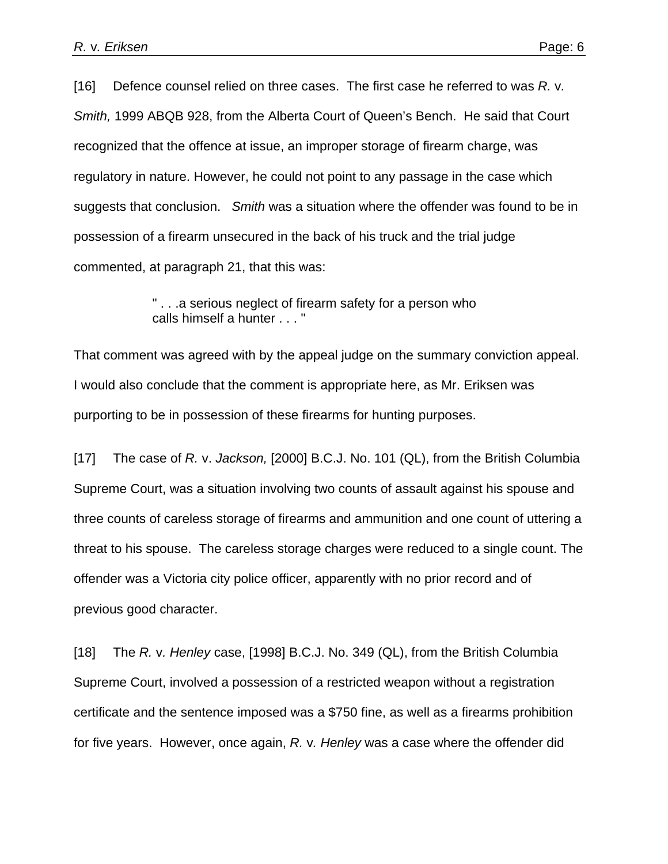[16] Defence counsel relied on three cases. The first case he referred to was *R.* v*. Smith,* 1999 ABQB 928, from the Alberta Court of Queen's Bench. He said that Court recognized that the offence at issue, an improper storage of firearm charge, was regulatory in nature. However, he could not point to any passage in the case which suggests that conclusion. *Smith* was a situation where the offender was found to be in possession of a firearm unsecured in the back of his truck and the trial judge commented, at paragraph 21, that this was:

> " . . .a serious neglect of firearm safety for a person who calls himself a hunter . . . "

That comment was agreed with by the appeal judge on the summary conviction appeal. I would also conclude that the comment is appropriate here, as Mr. Eriksen was purporting to be in possession of these firearms for hunting purposes.

[17] The case of *R.* v. *Jackson,* [2000] B.C.J. No. 101 (QL), from the British Columbia Supreme Court, was a situation involving two counts of assault against his spouse and three counts of careless storage of firearms and ammunition and one count of uttering a threat to his spouse. The careless storage charges were reduced to a single count. The offender was a Victoria city police officer, apparently with no prior record and of previous good character.

[18] The *R.* v*. Henley* case, [1998] B.C.J. No. 349 (QL), from the British Columbia Supreme Court, involved a possession of a restricted weapon without a registration certificate and the sentence imposed was a \$750 fine, as well as a firearms prohibition for five years. However, once again, *R.* v*. Henley* was a case where the offender did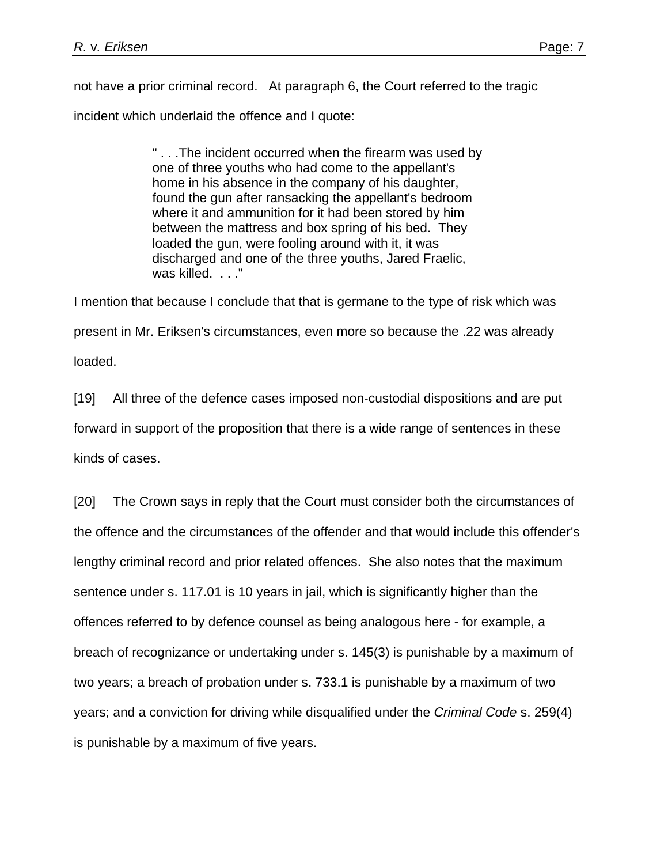not have a prior criminal record. At paragraph 6, the Court referred to the tragic

incident which underlaid the offence and I quote:

" . . .The incident occurred when the firearm was used by one of three youths who had come to the appellant's home in his absence in the company of his daughter, found the gun after ransacking the appellant's bedroom where it and ammunition for it had been stored by him between the mattress and box spring of his bed. They loaded the gun, were fooling around with it, it was discharged and one of the three youths, Jared Fraelic, was killed. . . . "

I mention that because I conclude that that is germane to the type of risk which was present in Mr. Eriksen's circumstances, even more so because the .22 was already loaded.

[19] All three of the defence cases imposed non-custodial dispositions and are put forward in support of the proposition that there is a wide range of sentences in these kinds of cases.

[20] The Crown says in reply that the Court must consider both the circumstances of the offence and the circumstances of the offender and that would include this offender's lengthy criminal record and prior related offences. She also notes that the maximum sentence under s. 117.01 is 10 years in jail, which is significantly higher than the offences referred to by defence counsel as being analogous here - for example, a breach of recognizance or undertaking under s. 145(3) is punishable by a maximum of two years; a breach of probation under s. 733.1 is punishable by a maximum of two years; and a conviction for driving while disqualified under the *Criminal Code* s. 259(4) is punishable by a maximum of five years.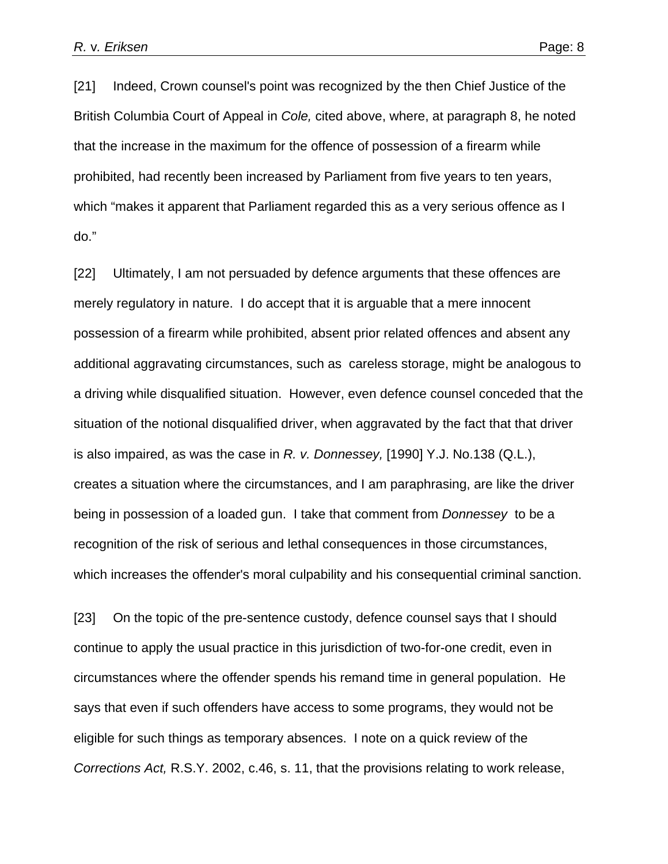[21] Indeed, Crown counsel's point was recognized by the then Chief Justice of the British Columbia Court of Appeal in *Cole,* cited above, where, at paragraph 8, he noted that the increase in the maximum for the offence of possession of a firearm while prohibited, had recently been increased by Parliament from five years to ten years, which "makes it apparent that Parliament regarded this as a very serious offence as I do."

[22] Ultimately, I am not persuaded by defence arguments that these offences are merely regulatory in nature. I do accept that it is arguable that a mere innocent possession of a firearm while prohibited, absent prior related offences and absent any additional aggravating circumstances, such as careless storage, might be analogous to a driving while disqualified situation. However, even defence counsel conceded that the situation of the notional disqualified driver, when aggravated by the fact that that driver is also impaired, as was the case in *R. v. Donnessey,* [1990] Y.J. No.138 (Q.L.), creates a situation where the circumstances, and I am paraphrasing, are like the driver being in possession of a loaded gun. I take that comment from *Donnessey* to be a recognition of the risk of serious and lethal consequences in those circumstances, which increases the offender's moral culpability and his consequential criminal sanction.

[23] On the topic of the pre-sentence custody, defence counsel says that I should continue to apply the usual practice in this jurisdiction of two-for-one credit, even in circumstances where the offender spends his remand time in general population. He says that even if such offenders have access to some programs, they would not be eligible for such things as temporary absences. I note on a quick review of the *Corrections Act,* R.S.Y. 2002, c.46, s. 11, that the provisions relating to work release,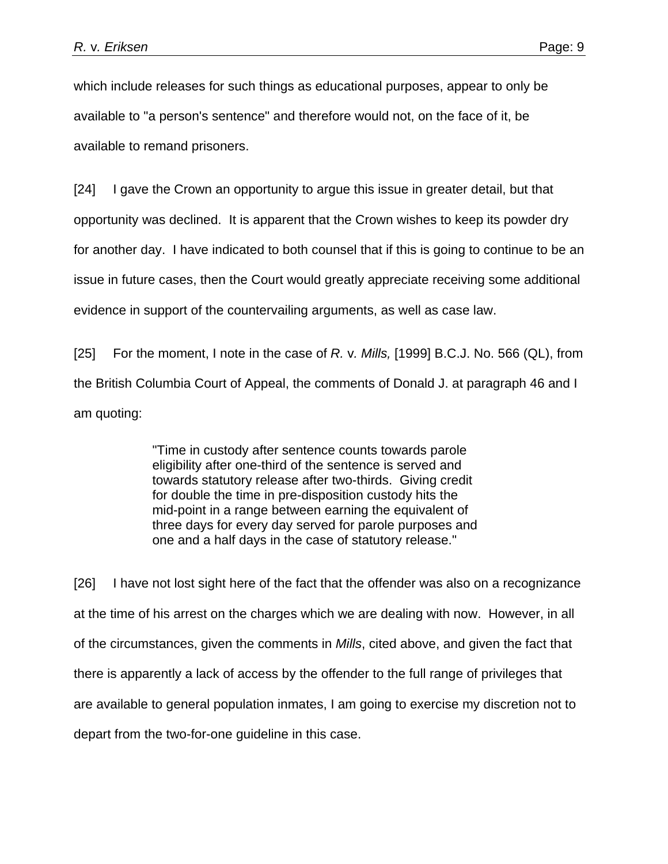which include releases for such things as educational purposes, appear to only be available to "a person's sentence" and therefore would not, on the face of it, be available to remand prisoners.

[24] I gave the Crown an opportunity to argue this issue in greater detail, but that opportunity was declined. It is apparent that the Crown wishes to keep its powder dry for another day. I have indicated to both counsel that if this is going to continue to be an issue in future cases, then the Court would greatly appreciate receiving some additional evidence in support of the countervailing arguments, as well as case law.

[25] For the moment, I note in the case of *R.* v*. Mills,* [1999] B.C.J. No. 566 (QL), from the British Columbia Court of Appeal, the comments of Donald J. at paragraph 46 and I am quoting:

> "Time in custody after sentence counts towards parole eligibility after one-third of the sentence is served and towards statutory release after two-thirds. Giving credit for double the time in pre-disposition custody hits the mid-point in a range between earning the equivalent of three days for every day served for parole purposes and one and a half days in the case of statutory release."

[26] I have not lost sight here of the fact that the offender was also on a recognizance at the time of his arrest on the charges which we are dealing with now. However, in all of the circumstances, given the comments in *Mills*, cited above, and given the fact that there is apparently a lack of access by the offender to the full range of privileges that are available to general population inmates, I am going to exercise my discretion not to depart from the two-for-one guideline in this case.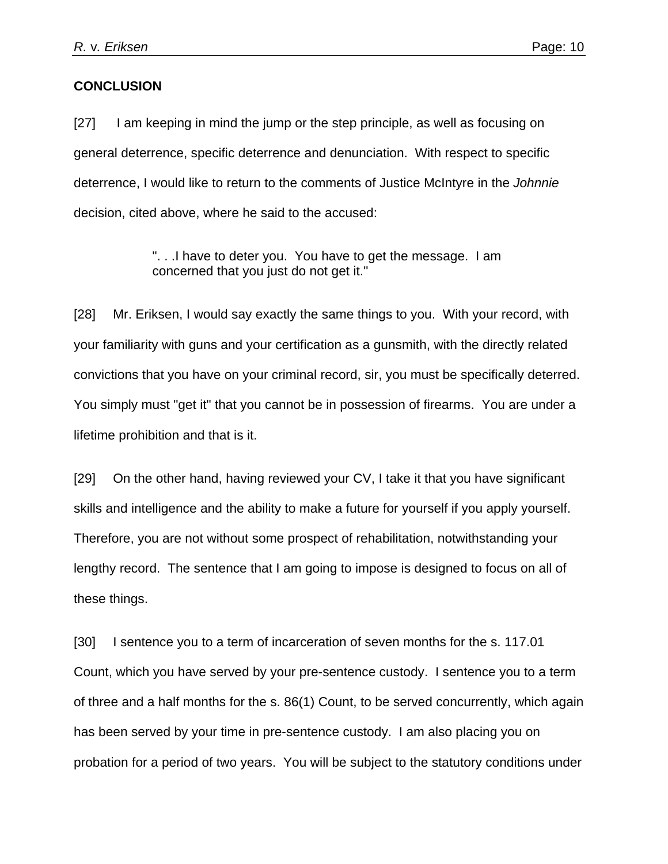### **CONCLUSION**

[27] I am keeping in mind the jump or the step principle, as well as focusing on general deterrence, specific deterrence and denunciation. With respect to specific deterrence, I would like to return to the comments of Justice McIntyre in the *Johnnie*  decision, cited above, where he said to the accused:

> ". . .I have to deter you. You have to get the message. I am concerned that you just do not get it."

[28] Mr. Eriksen, I would say exactly the same things to you. With your record, with your familiarity with guns and your certification as a gunsmith, with the directly related convictions that you have on your criminal record, sir, you must be specifically deterred. You simply must "get it" that you cannot be in possession of firearms. You are under a lifetime prohibition and that is it.

[29] On the other hand, having reviewed your CV, I take it that you have significant skills and intelligence and the ability to make a future for yourself if you apply yourself. Therefore, you are not without some prospect of rehabilitation, notwithstanding your lengthy record. The sentence that I am going to impose is designed to focus on all of these things.

[30] I sentence you to a term of incarceration of seven months for the s. 117.01 Count, which you have served by your pre-sentence custody. I sentence you to a term of three and a half months for the s. 86(1) Count, to be served concurrently, which again has been served by your time in pre-sentence custody. I am also placing you on probation for a period of two years. You will be subject to the statutory conditions under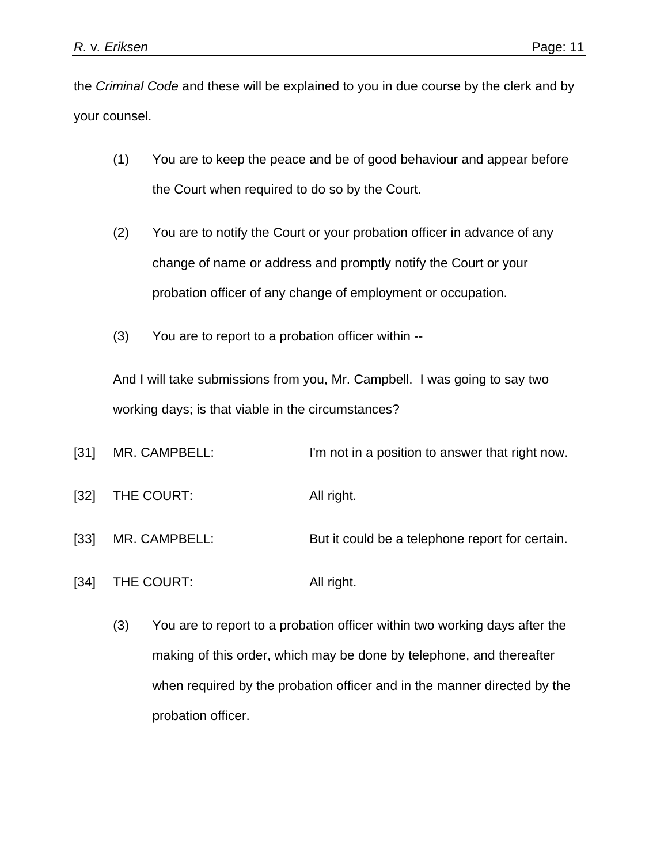the *Criminal Code* and these will be explained to you in due course by the clerk and by your counsel.

- (1) You are to keep the peace and be of good behaviour and appear before the Court when required to do so by the Court.
- (2) You are to notify the Court or your probation officer in advance of any change of name or address and promptly notify the Court or your probation officer of any change of employment or occupation.
- (3) You are to report to a probation officer within --

And I will take submissions from you, Mr. Campbell. I was going to say two working days; is that viable in the circumstances?

- [31] MR. CAMPBELL: I'm not in a position to answer that right now.
- [32] THE COURT: All right.
- [33] MR. CAMPBELL: But it could be a telephone report for certain.
- [34] THE COURT: All right.
	- (3) You are to report to a probation officer within two working days after the making of this order, which may be done by telephone, and thereafter when required by the probation officer and in the manner directed by the probation officer.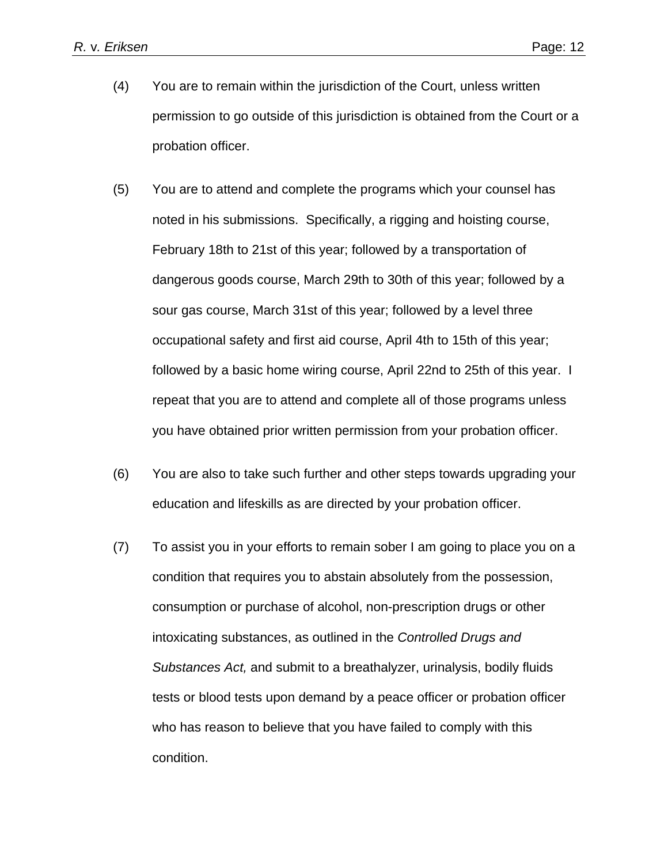- (4) You are to remain within the jurisdiction of the Court, unless written permission to go outside of this jurisdiction is obtained from the Court or a probation officer.
- (5) You are to attend and complete the programs which your counsel has noted in his submissions. Specifically, a rigging and hoisting course, February 18th to 21st of this year; followed by a transportation of dangerous goods course, March 29th to 30th of this year; followed by a sour gas course, March 31st of this year; followed by a level three occupational safety and first aid course, April 4th to 15th of this year; followed by a basic home wiring course, April 22nd to 25th of this year. I repeat that you are to attend and complete all of those programs unless you have obtained prior written permission from your probation officer.
- (6) You are also to take such further and other steps towards upgrading your education and lifeskills as are directed by your probation officer.
- (7) To assist you in your efforts to remain sober I am going to place you on a condition that requires you to abstain absolutely from the possession, consumption or purchase of alcohol, non-prescription drugs or other intoxicating substances, as outlined in the *Controlled Drugs and Substances Act,* and submit to a breathalyzer, urinalysis, bodily fluids tests or blood tests upon demand by a peace officer or probation officer who has reason to believe that you have failed to comply with this condition.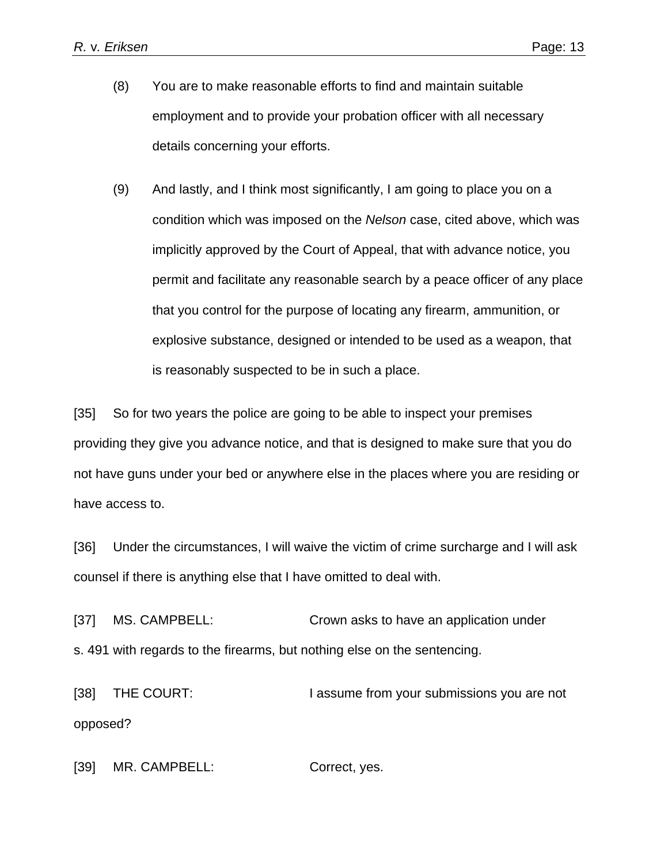- (8) You are to make reasonable efforts to find and maintain suitable employment and to provide your probation officer with all necessary details concerning your efforts.
- (9) And lastly, and I think most significantly, I am going to place you on a condition which was imposed on the *Nelson* case, cited above, which was implicitly approved by the Court of Appeal, that with advance notice, you permit and facilitate any reasonable search by a peace officer of any place that you control for the purpose of locating any firearm, ammunition, or explosive substance, designed or intended to be used as a weapon, that is reasonably suspected to be in such a place.

[35] So for two years the police are going to be able to inspect your premises providing they give you advance notice, and that is designed to make sure that you do not have guns under your bed or anywhere else in the places where you are residing or have access to.

[36] Under the circumstances, I will waive the victim of crime surcharge and I will ask counsel if there is anything else that I have omitted to deal with.

[37] MS. CAMPBELL: Crown asks to have an application under s. 491 with regards to the firearms, but nothing else on the sentencing.

[38] THE COURT: I assume from your submissions you are not opposed?

[39] MR. CAMPBELL: Correct, yes.